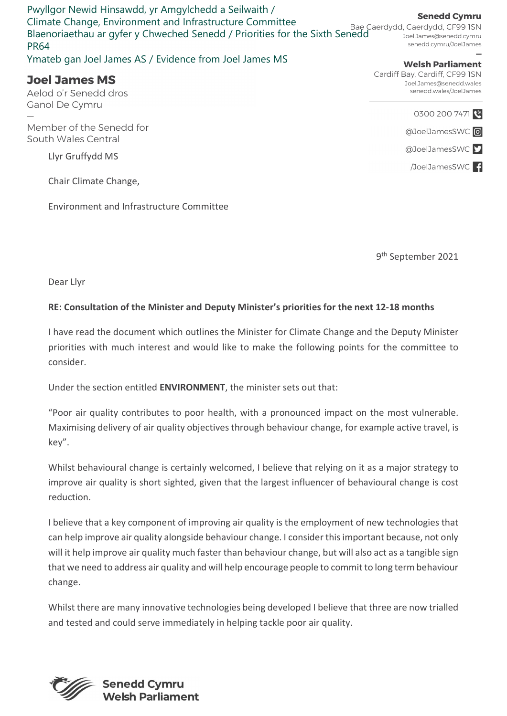Pwyllgor Newid Hinsawdd, yr Amgylchedd a Seilwaith / Climate Change, Environment and Infrastructure Committee Blaenoriaethau ar gyfer y Chweched Senedd / Priorities for the Sixth Senedd PR64

Ymateb gan Joel James AS / Evidence from Joel James MS

## Joel James MS

Aelod o'r Senedd dros

Ganol De Cymru<br>—<br>Member of the Senedd for South Wales Central

Llyr Gruffydd MS

Chair Climate Change,

Environment and Infrastructure Committee

9 th September 2021

Dear Llyr

## RE: Consultation of the Minister and Deputy Minister's priorities for the next 12-18 months

I have read the document which outlines the Minister for Climate Change and the Deputy Minister priorities with much interest and would like to make the following points for the committee to consider.

Under the section entitled ENVIRONMENT, the minister sets out that:

"Poor air quality contributes to poor health, with a pronounced impact on the most vulnerable. Maximising delivery of air quality objectives through behaviour change, for example active travel, is key".

Whilst behavioural change is certainly welcomed, I believe that relying on it as a major strategy to improve air quality is short sighted, given that the largest influencer of behavioural change is cost reduction.

I believe that a key component of improving air quality is the employment of new technologies that can help improve air quality alongside behaviour change. I consider this important because, not only will it help improve air quality much faster than behaviour change, but will also act as a tangible sign that we need to address air quality and will help encourage people to commit to long term behaviour change.

Whilst there are many innovative technologies being developed I believe that three are now trialled and tested and could serve immediately in helping tackle poor air quality.



Senedd Cymru

Bae Caerdydd, Caerdydd, CF99 1SN Joel.James@senedd.cymru senedd.cymru/JoelJames

## — Welsh Parliament Cardiff Bay, Cardiff, CF99 1SN

Joel.James@senedd.wales senedd.wales/JoelJames

> 0300 200 7471 @JoelJamesSWC<sup>O</sup>

> @JoelJamesSWC

/JoelJamesSWC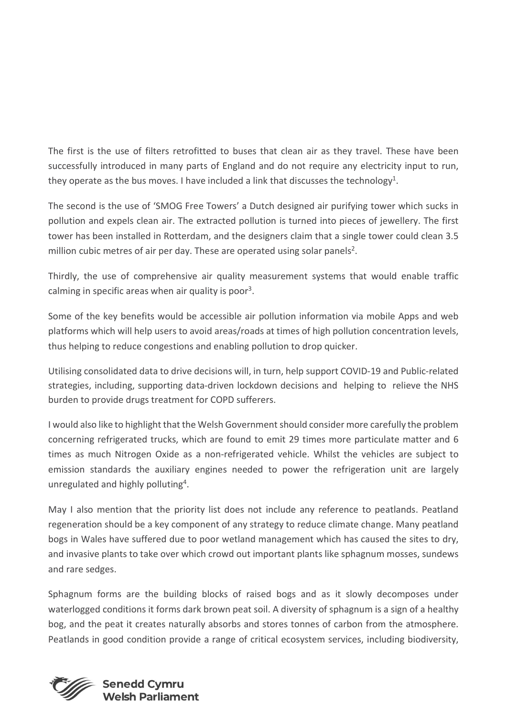The first is the use of filters retrofitted to buses that clean air as they travel. These have been successfully introduced in many parts of England and do not require any electricity input to run, they operate as the bus moves. I have included a link that discusses the technology<sup>1</sup>.

The second is the use of 'SMOG Free Towers' a Dutch designed air purifying tower which sucks in pollution and expels clean air. The extracted pollution is turned into pieces of jewellery. The first tower has been installed in Rotterdam, and the designers claim that a single tower could clean 3.5 million cubic metres of air per day. These are operated using solar panels<sup>2</sup>.

Thirdly, the use of comprehensive air quality measurement systems that would enable traffic calming in specific areas when air quality is poor<sup>3</sup>.

Some of the key benefits would be accessible air pollution information via mobile Apps and web platforms which will help users to avoid areas/roads at times of high pollution concentration levels, thus helping to reduce congestions and enabling pollution to drop quicker.

Utilising consolidated data to drive decisions will, in turn, help support COVID-19 and Public-related strategies, including, supporting data-driven lockdown decisions and helping to relieve the NHS burden to provide drugs treatment for COPD sufferers.

I would also like to highlight that the Welsh Government should consider more carefully the problem concerning refrigerated trucks, which are found to emit 29 times more particulate matter and 6 times as much Nitrogen Oxide as a non-refrigerated vehicle. Whilst the vehicles are subject to emission standards the auxiliary engines needed to power the refrigeration unit are largely unregulated and highly polluting<sup>4</sup>.

May I also mention that the priority list does not include any reference to peatlands. Peatland regeneration should be a key component of any strategy to reduce climate change. Many peatland bogs in Wales have suffered due to poor wetland management which has caused the sites to dry, and invasive plants to take over which crowd out important plants like sphagnum mosses, sundews and rare sedges.

Sphagnum forms are the building blocks of raised bogs and as it slowly decomposes under waterlogged conditions it forms dark brown peat soil. A diversity of sphagnum is a sign of a healthy bog, and the peat it creates naturally absorbs and stores tonnes of carbon from the atmosphere. Peatlands in good condition provide a range of critical ecosystem services, including biodiversity,

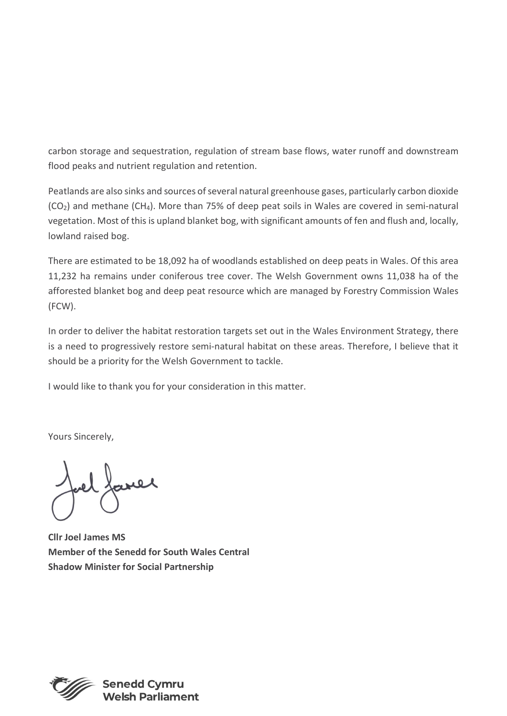carbon storage and sequestration, regulation of stream base flows, water runoff and downstream flood peaks and nutrient regulation and retention.

Peatlands are also sinks and sources of several natural greenhouse gases, particularly carbon dioxide (CO2) and methane (CH4). More than 75% of deep peat soils in Wales are covered in semi-natural vegetation. Most of this is upland blanket bog, with significant amounts of fen and flush and, locally, lowland raised bog.

There are estimated to be 18,092 ha of woodlands established on deep peats in Wales. Of this area 11,232 ha remains under coniferous tree cover. The Welsh Government owns 11,038 ha of the afforested blanket bog and deep peat resource which are managed by Forestry Commission Wales (FCW).

In order to deliver the habitat restoration targets set out in the Wales Environment Strategy, there is a need to progressively restore semi-natural habitat on these areas. Therefore, I believe that it should be a priority for the Welsh Government to tackle.

I would like to thank you for your consideration in this matter.

Yours Sincerely,

Cllr Joel James MS Member of the Senedd for South Wales Central Shadow Minister for Social Partnership



elsh Parliament